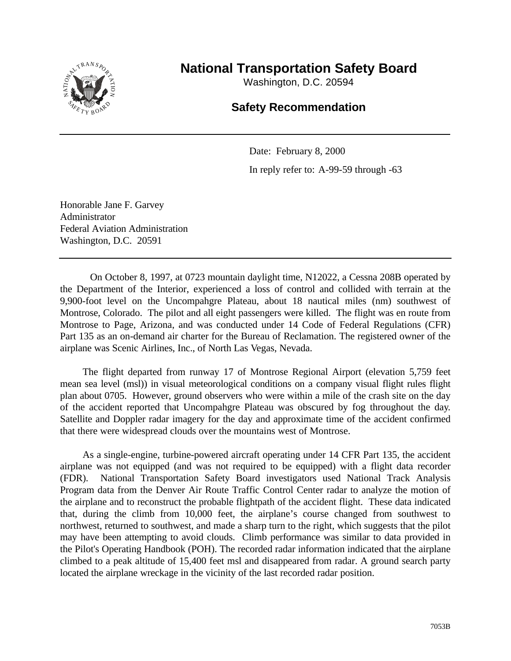

## **National Transportation Safety Board**

Washington, D.C. 20594

## **Safety Recommendation**

Date: February 8, 2000 In reply refer to: A-99-59 through -63

Honorable Jane F. Garvey Administrator Federal Aviation Administration Washington, D.C. 20591

On October 8, 1997, at 0723 mountain daylight time, N12022, a Cessna 208B operated by the Department of the Interior, experienced a loss of control and collided with terrain at the 9,900-foot level on the Uncompahgre Plateau, about 18 nautical miles (nm) southwest of Montrose, Colorado. The pilot and all eight passengers were killed. The flight was en route from Montrose to Page, Arizona, and was conducted under 14 Code of Federal Regulations (CFR) Part 135 as an on-demand air charter for the Bureau of Reclamation. The registered owner of the airplane was Scenic Airlines, Inc., of North Las Vegas, Nevada.

The flight departed from runway 17 of Montrose Regional Airport (elevation 5,759 feet mean sea level (msl)) in visual meteorological conditions on a company visual flight rules flight plan about 0705. However, ground observers who were within a mile of the crash site on the day of the accident reported that Uncompahgre Plateau was obscured by fog throughout the day. Satellite and Doppler radar imagery for the day and approximate time of the accident confirmed that there were widespread clouds over the mountains west of Montrose.

As a single-engine, turbine-powered aircraft operating under 14 CFR Part 135, the accident airplane was not equipped (and was not required to be equipped) with a flight data recorder (FDR). National Transportation Safety Board investigators used National Track Analysis Program data from the Denver Air Route Traffic Control Center radar to analyze the motion of the airplane and to reconstruct the probable flightpath of the accident flight. These data indicated that, during the climb from 10,000 feet, the airplane's course changed from southwest to northwest, returned to southwest, and made a sharp turn to the right, which suggests that the pilot may have been attempting to avoid clouds. Climb performance was similar to data provided in the Pilot's Operating Handbook (POH). The recorded radar information indicated that the airplane climbed to a peak altitude of 15,400 feet msl and disappeared from radar. A ground search party located the airplane wreckage in the vicinity of the last recorded radar position.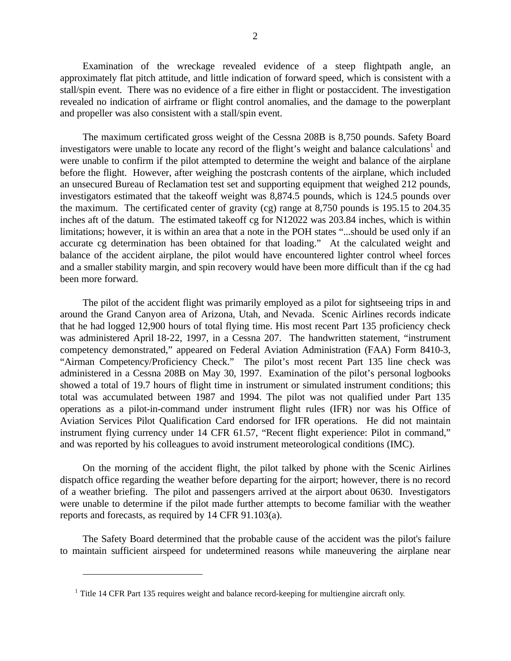Examination of the wreckage revealed evidence of a steep flightpath angle, an approximately flat pitch attitude, and little indication of forward speed, which is consistent with a stall/spin event. There was no evidence of a fire either in flight or postaccident. The investigation revealed no indication of airframe or flight control anomalies, and the damage to the powerplant and propeller was also consistent with a stall/spin event.

The maximum certificated gross weight of the Cessna 208B is 8,750 pounds. Safety Board investigators were unable to locate any record of the flight's weight and balance calculations<sup>1</sup> and were unable to confirm if the pilot attempted to determine the weight and balance of the airplane before the flight. However, after weighing the postcrash contents of the airplane, which included an unsecured Bureau of Reclamation test set and supporting equipment that weighed 212 pounds, investigators estimated that the takeoff weight was 8,874.5 pounds, which is 124.5 pounds over the maximum. The certificated center of gravity (cg) range at 8,750 pounds is 195.15 to 204.35 inches aft of the datum. The estimated takeoff cg for N12022 was 203.84 inches, which is within limitations; however, it is within an area that a note in the POH states "...should be used only if an accurate cg determination has been obtained for that loading." At the calculated weight and balance of the accident airplane, the pilot would have encountered lighter control wheel forces and a smaller stability margin, and spin recovery would have been more difficult than if the cg had been more forward.

The pilot of the accident flight was primarily employed as a pilot for sightseeing trips in and around the Grand Canyon area of Arizona, Utah, and Nevada. Scenic Airlines records indicate that he had logged 12,900 hours of total flying time. His most recent Part 135 proficiency check was administered April 18-22, 1997, in a Cessna 207. The handwritten statement, "instrument competency demonstrated," appeared on Federal Aviation Administration (FAA) Form 8410-3, "Airman Competency/Proficiency Check." The pilot's most recent Part 135 line check was administered in a Cessna 208B on May 30, 1997. Examination of the pilot's personal logbooks showed a total of 19.7 hours of flight time in instrument or simulated instrument conditions; this total was accumulated between 1987 and 1994. The pilot was not qualified under Part 135 operations as a pilot-in-command under instrument flight rules (IFR) nor was his Office of Aviation Services Pilot Qualification Card endorsed for IFR operations. He did not maintain instrument flying currency under 14 CFR 61.57, "Recent flight experience: Pilot in command," and was reported by his colleagues to avoid instrument meteorological conditions (IMC).

On the morning of the accident flight, the pilot talked by phone with the Scenic Airlines dispatch office regarding the weather before departing for the airport; however, there is no record of a weather briefing. The pilot and passengers arrived at the airport about 0630. Investigators were unable to determine if the pilot made further attempts to become familiar with the weather reports and forecasts, as required by 14 CFR 91.103(a).

The Safety Board determined that the probable cause of the accident was the pilot's failure to maintain sufficient airspeed for undetermined reasons while maneuvering the airplane near

 $\overline{a}$ 

<sup>&</sup>lt;sup>1</sup> Title 14 CFR Part 135 requires weight and balance record-keeping for multiengine aircraft only.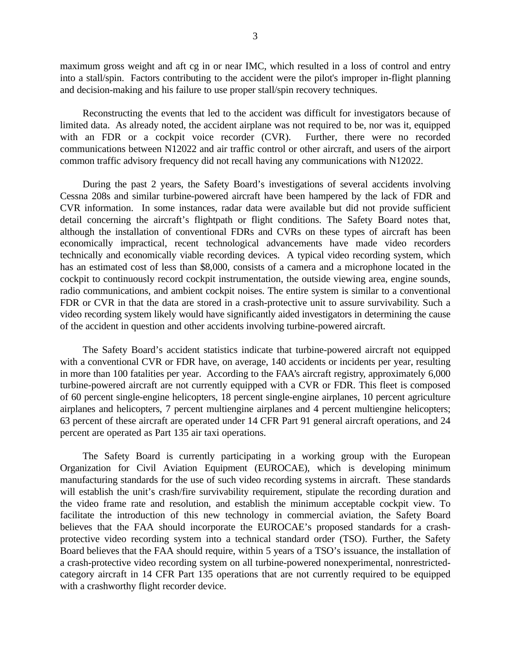maximum gross weight and aft cg in or near IMC, which resulted in a loss of control and entry into a stall/spin. Factors contributing to the accident were the pilot's improper in-flight planning and decision-making and his failure to use proper stall/spin recovery techniques.

Reconstructing the events that led to the accident was difficult for investigators because of limited data. As already noted, the accident airplane was not required to be, nor was it, equipped with an FDR or a cockpit voice recorder (CVR). Further, there were no recorded communications between N12022 and air traffic control or other aircraft, and users of the airport common traffic advisory frequency did not recall having any communications with N12022.

During the past 2 years, the Safety Board's investigations of several accidents involving Cessna 208s and similar turbine-powered aircraft have been hampered by the lack of FDR and CVR information. In some instances, radar data were available but did not provide sufficient detail concerning the aircraft's flightpath or flight conditions. The Safety Board notes that, although the installation of conventional FDRs and CVRs on these types of aircraft has been economically impractical, recent technological advancements have made video recorders technically and economically viable recording devices. A typical video recording system, which has an estimated cost of less than \$8,000, consists of a camera and a microphone located in the cockpit to continuously record cockpit instrumentation, the outside viewing area, engine sounds, radio communications, and ambient cockpit noises. The entire system is similar to a conventional FDR or CVR in that the data are stored in a crash-protective unit to assure survivability. Such a video recording system likely would have significantly aided investigators in determining the cause of the accident in question and other accidents involving turbine-powered aircraft.

The Safety Board's accident statistics indicate that turbine-powered aircraft not equipped with a conventional CVR or FDR have, on average, 140 accidents or incidents per year, resulting in more than 100 fatalities per year. According to the FAA's aircraft registry, approximately 6,000 turbine-powered aircraft are not currently equipped with a CVR or FDR. This fleet is composed of 60 percent single-engine helicopters, 18 percent single-engine airplanes, 10 percent agriculture airplanes and helicopters, 7 percent multiengine airplanes and 4 percent multiengine helicopters; 63 percent of these aircraft are operated under 14 CFR Part 91 general aircraft operations, and 24 percent are operated as Part 135 air taxi operations.

The Safety Board is currently participating in a working group with the European Organization for Civil Aviation Equipment (EUROCAE), which is developing minimum manufacturing standards for the use of such video recording systems in aircraft. These standards will establish the unit's crash/fire survivability requirement, stipulate the recording duration and the video frame rate and resolution, and establish the minimum acceptable cockpit view. To facilitate the introduction of this new technology in commercial aviation, the Safety Board believes that the FAA should incorporate the EUROCAE's proposed standards for a crashprotective video recording system into a technical standard order (TSO). Further, the Safety Board believes that the FAA should require, within 5 years of a TSO's issuance, the installation of a crash-protective video recording system on all turbine-powered nonexperimental, nonrestrictedcategory aircraft in 14 CFR Part 135 operations that are not currently required to be equipped with a crashworthy flight recorder device.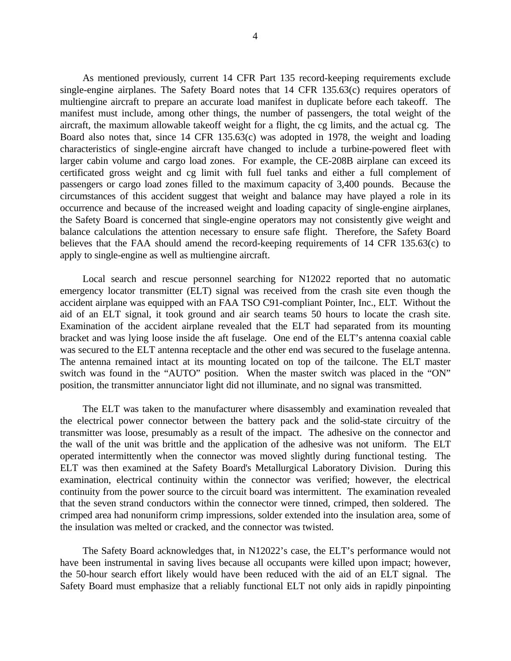As mentioned previously, current 14 CFR Part 135 record-keeping requirements exclude single-engine airplanes. The Safety Board notes that 14 CFR 135.63(c) requires operators of multiengine aircraft to prepare an accurate load manifest in duplicate before each takeoff. The manifest must include, among other things, the number of passengers, the total weight of the aircraft, the maximum allowable takeoff weight for a flight, the cg limits, and the actual cg. The Board also notes that, since 14 CFR 135.63(c) was adopted in 1978, the weight and loading characteristics of single-engine aircraft have changed to include a turbine-powered fleet with larger cabin volume and cargo load zones. For example, the CE-208B airplane can exceed its certificated gross weight and cg limit with full fuel tanks and either a full complement of passengers or cargo load zones filled to the maximum capacity of 3,400 pounds. Because the circumstances of this accident suggest that weight and balance may have played a role in its occurrence and because of the increased weight and loading capacity of single-engine airplanes, the Safety Board is concerned that single-engine operators may not consistently give weight and balance calculations the attention necessary to ensure safe flight. Therefore, the Safety Board believes that the FAA should amend the record-keeping requirements of 14 CFR 135.63(c) to apply to single-engine as well as multiengine aircraft.

Local search and rescue personnel searching for N12022 reported that no automatic emergency locator transmitter (ELT) signal was received from the crash site even though the accident airplane was equipped with an FAA TSO C91-compliant Pointer, Inc., ELT. Without the aid of an ELT signal, it took ground and air search teams 50 hours to locate the crash site. Examination of the accident airplane revealed that the ELT had separated from its mounting bracket and was lying loose inside the aft fuselage. One end of the ELT's antenna coaxial cable was secured to the ELT antenna receptacle and the other end was secured to the fuselage antenna. The antenna remained intact at its mounting located on top of the tailcone. The ELT master switch was found in the "AUTO" position. When the master switch was placed in the "ON" position, the transmitter annunciator light did not illuminate, and no signal was transmitted.

The ELT was taken to the manufacturer where disassembly and examination revealed that the electrical power connector between the battery pack and the solid-state circuitry of the transmitter was loose, presumably as a result of the impact. The adhesive on the connector and the wall of the unit was brittle and the application of the adhesive was not uniform. The ELT operated intermittently when the connector was moved slightly during functional testing. The ELT was then examined at the Safety Board's Metallurgical Laboratory Division. During this examination, electrical continuity within the connector was verified; however, the electrical continuity from the power source to the circuit board was intermittent. The examination revealed that the seven strand conductors within the connector were tinned, crimped, then soldered. The crimped area had nonuniform crimp impressions, solder extended into the insulation area, some of the insulation was melted or cracked, and the connector was twisted.

The Safety Board acknowledges that, in N12022's case, the ELT's performance would not have been instrumental in saving lives because all occupants were killed upon impact; however, the 50-hour search effort likely would have been reduced with the aid of an ELT signal. The Safety Board must emphasize that a reliably functional ELT not only aids in rapidly pinpointing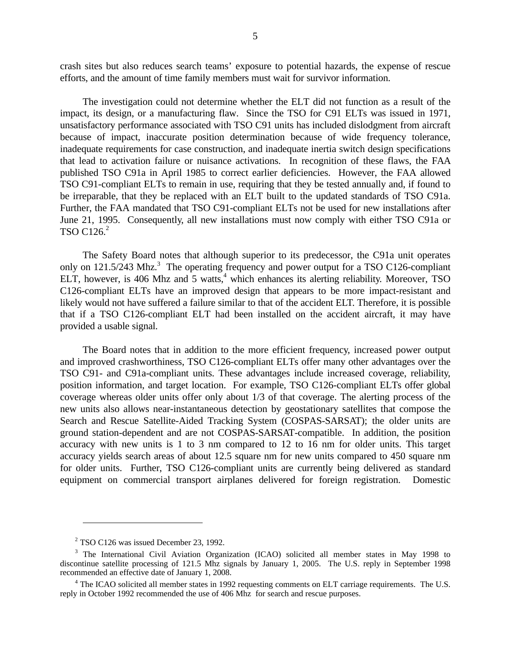crash sites but also reduces search teams' exposure to potential hazards, the expense of rescue efforts, and the amount of time family members must wait for survivor information.

The investigation could not determine whether the ELT did not function as a result of the impact, its design, or a manufacturing flaw. Since the TSO for C91 ELTs was issued in 1971, unsatisfactory performance associated with TSO C91 units has included dislodgment from aircraft because of impact, inaccurate position determination because of wide frequency tolerance, inadequate requirements for case construction, and inadequate inertia switch design specifications that lead to activation failure or nuisance activations. In recognition of these flaws, the FAA published TSO C91a in April 1985 to correct earlier deficiencies. However, the FAA allowed TSO C91-compliant ELTs to remain in use, requiring that they be tested annually and, if found to be irreparable, that they be replaced with an ELT built to the updated standards of TSO C91a. Further, the FAA mandated that TSO C91-compliant ELTs not be used for new installations after June 21, 1995. Consequently, all new installations must now comply with either TSO C91a or  $TSO Cl26<sup>2</sup>$ 

The Safety Board notes that although superior to its predecessor, the C91a unit operates only on  $121.5/243$  Mhz.<sup>3</sup> The operating frequency and power output for a TSO C126-compliant ELT, however, is 406 Mhz and 5 watts,<sup>4</sup> which enhances its alerting reliability. Moreover, TSO C126-compliant ELTs have an improved design that appears to be more impact-resistant and likely would not have suffered a failure similar to that of the accident ELT. Therefore, it is possible that if a TSO C126-compliant ELT had been installed on the accident aircraft, it may have provided a usable signal.

The Board notes that in addition to the more efficient frequency, increased power output and improved crashworthiness, TSO C126-compliant ELTs offer many other advantages over the TSO C91- and C91a-compliant units. These advantages include increased coverage, reliability, position information, and target location. For example, TSO C126-compliant ELTs offer global coverage whereas older units offer only about 1/3 of that coverage. The alerting process of the new units also allows near-instantaneous detection by geostationary satellites that compose the Search and Rescue Satellite-Aided Tracking System (COSPAS-SARSAT); the older units are ground station-dependent and are not COSPAS-SARSAT-compatible. In addition, the position accuracy with new units is 1 to 3 nm compared to 12 to 16 nm for older units. This target accuracy yields search areas of about 12.5 square nm for new units compared to 450 square nm for older units.Further, TSO C126-compliant units are currently being delivered as standard equipment on commercial transport airplanes delivered for foreign registration. Domestic

 $\overline{a}$ 

<sup>&</sup>lt;sup>2</sup> TSO C126 was issued December 23, 1992.

<sup>&</sup>lt;sup>3</sup> The International Civil Aviation Organization (ICAO) solicited all member states in May 1998 to discontinue satellite processing of 121.5 Mhz signals by January 1, 2005. The U.S. reply in September 1998 recommended an effective date of January 1, 2008.

<sup>&</sup>lt;sup>4</sup> The ICAO solicited all member states in 1992 requesting comments on ELT carriage requirements. The U.S. reply in October 1992 recommended the use of 406 Mhz for search and rescue purposes.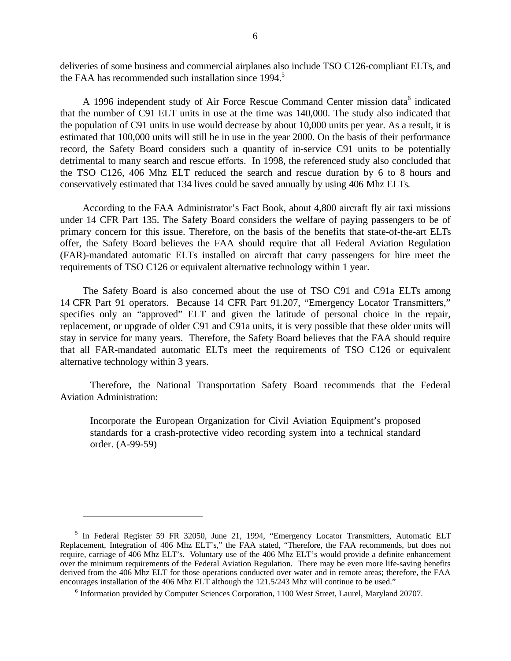deliveries of some business and commercial airplanes also include TSO C126-compliant ELTs, and the FAA has recommended such installation since 1994.<sup>5</sup>

A 1996 independent study of Air Force Rescue Command Center mission data<sup>6</sup> indicated that the number of C91 ELT units in use at the time was 140,000. The study also indicated that the population of C91 units in use would decrease by about 10,000 units per year. As a result, it is estimated that 100,000 units will still be in use in the year 2000. On the basis of their performance record, the Safety Board considers such a quantity of in-service C91 units to be potentially detrimental to many search and rescue efforts. In 1998, the referenced study also concluded that the TSO C126, 406 Mhz ELT reduced the search and rescue duration by 6 to 8 hours and conservatively estimated that 134 lives could be saved annually by using 406 Mhz ELTs.

According to the FAA Administrator's Fact Book, about 4,800 aircraft fly air taxi missions under 14 CFR Part 135. The Safety Board considers the welfare of paying passengers to be of primary concern for this issue. Therefore, on the basis of the benefits that state-of-the-art ELTs offer, the Safety Board believes the FAA should require that all Federal Aviation Regulation (FAR)-mandated automatic ELTs installed on aircraft that carry passengers for hire meet the requirements of TSO C126 or equivalent alternative technology within 1 year.

The Safety Board is also concerned about the use of TSO C91 and C91a ELTs among 14 CFR Part 91 operators. Because 14 CFR Part 91.207, "Emergency Locator Transmitters," specifies only an "approved" ELT and given the latitude of personal choice in the repair, replacement, or upgrade of older C91 and C91a units, it is very possible that these older units will stay in service for many years. Therefore, the Safety Board believes that the FAA should require that all FAR-mandated automatic ELTs meet the requirements of TSO C126 or equivalent alternative technology within 3 years.

Therefore, the National Transportation Safety Board recommends that the Federal Aviation Administration:

Incorporate the European Organization for Civil Aviation Equipment's proposed standards for a crash-protective video recording system into a technical standard order. (A-99-59)

 $\overline{a}$ 

<sup>&</sup>lt;sup>5</sup> In Federal Register 59 FR 32050, June 21, 1994, "Emergency Locator Transmitters, Automatic ELT Replacement, Integration of 406 Mhz ELT's," the FAA stated, "Therefore, the FAA recommends, but does not require, carriage of 406 Mhz ELT's. Voluntary use of the 406 Mhz ELT's would provide a definite enhancement over the minimum requirements of the Federal Aviation Regulation. There may be even more life-saving benefits derived from the 406 Mhz ELT for those operations conducted over water and in remote areas; therefore, the FAA encourages installation of the 406 Mhz ELT although the 121.5/243 Mhz will continue to be used."

<sup>&</sup>lt;sup>6</sup> Information provided by Computer Sciences Corporation, 1100 West Street, Laurel, Maryland 20707.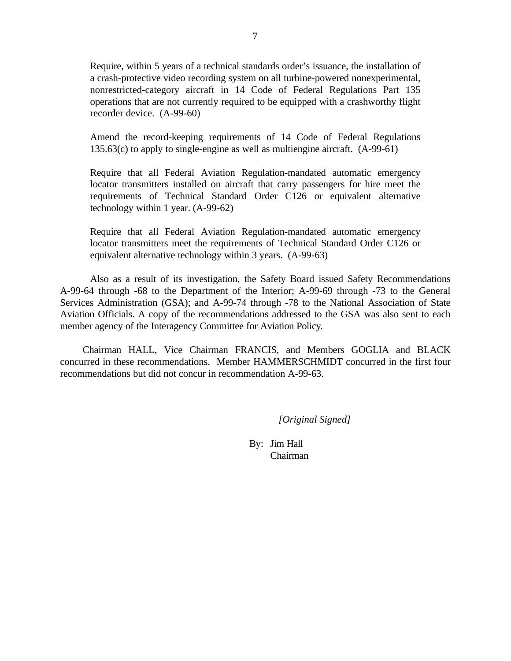Require, within 5 years of a technical standards order's issuance, the installation of a crash-protective video recording system on all turbine-powered nonexperimental, nonrestricted-category aircraft in 14 Code of Federal Regulations Part 135 operations that are not currently required to be equipped with a crashworthy flight recorder device. (A-99-60)

Amend the record-keeping requirements of 14 Code of Federal Regulations 135.63(c) to apply to single-engine as well as multiengine aircraft. (A-99-61)

Require that all Federal Aviation Regulation-mandated automatic emergency locator transmitters installed on aircraft that carry passengers for hire meet the requirements of Technical Standard Order C126 or equivalent alternative technology within 1 year. (A-99-62)

Require that all Federal Aviation Regulation-mandated automatic emergency locator transmitters meet the requirements of Technical Standard Order C126 or equivalent alternative technology within 3 years. (A-99-63)

Also as a result of its investigation, the Safety Board issued Safety Recommendations A-99-64 through -68 to the Department of the Interior; A-99-69 through -73 to the General Services Administration (GSA); and A-99-74 through -78 to the National Association of State Aviation Officials. A copy of the recommendations addressed to the GSA was also sent to each member agency of the Interagency Committee for Aviation Policy.

Chairman HALL, Vice Chairman FRANCIS, and Members GOGLIA and BLACK concurred in these recommendations. Member HAMMERSCHMIDT concurred in the first four recommendations but did not concur in recommendation A-99-63.

*[Original Signed]*

By: Jim Hall Chairman